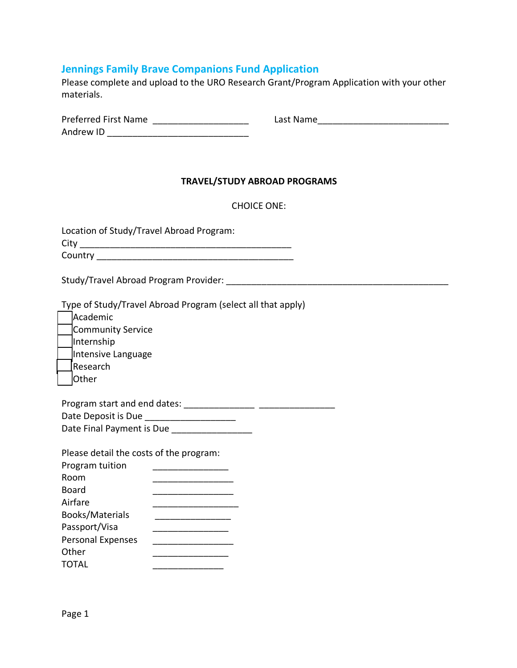## **Jennings Family Brave Companions Fund Application**

Please complete and upload to the URO Research Grant/Program Application with your other materials.

Preferred First Name \_\_\_\_\_\_\_\_\_\_\_\_\_\_\_\_\_\_\_ Last Name\_\_\_\_\_\_\_\_\_\_\_\_\_\_\_\_\_\_\_\_\_\_\_\_\_\_

| <b>Preferred First Name</b> |  |  |
|-----------------------------|--|--|
| Andrew ID                   |  |  |

## **TRAVEL/STUDY ABROAD PROGRAMS**

| <b>CHOICE ONE:</b> |
|--------------------|
|--------------------|

| Location of Study/Travel Abroad Program: |
|------------------------------------------|
| City                                     |
| Country                                  |

Study/Travel Abroad Program Provider: \_\_\_\_\_\_\_\_\_\_\_\_\_\_\_\_\_\_\_\_\_\_\_\_\_\_\_\_\_\_\_\_\_\_\_\_\_\_\_\_\_\_\_\_

Type of Study/Travel Abroad Program (select all that apply)

| Academic           |
|--------------------|
| Community Service  |
| Internship         |
| Intensive Language |
| Research           |
| Other              |

| Program start and end dates: |  |
|------------------------------|--|
| Date Deposit is Due          |  |
| Date Final Payment is Due    |  |

Please detail the costs of the program:

| Program tuition          |  |
|--------------------------|--|
| Room                     |  |
| Board                    |  |
| Airfare                  |  |
| <b>Books/Materials</b>   |  |
| Passport/Visa            |  |
| <b>Personal Expenses</b> |  |
| Other                    |  |
| TOTAL                    |  |
|                          |  |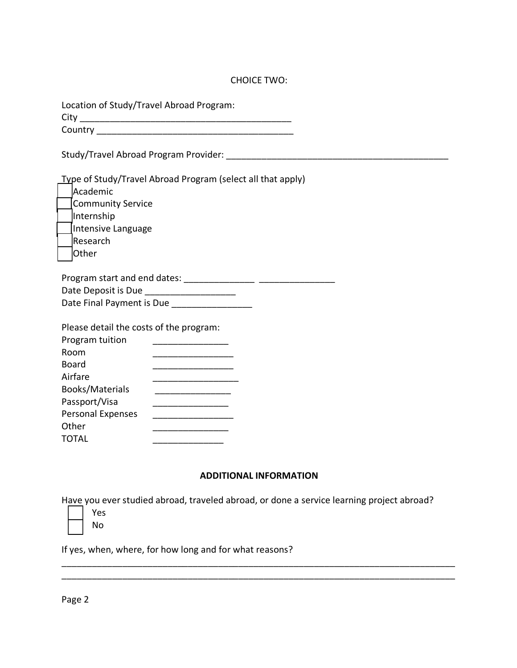## CHOICE TWO:

| Location of Study/Travel Abroad Program: |  |
|------------------------------------------|--|
|------------------------------------------|--|

City \_\_\_\_\_\_\_\_\_\_\_\_\_\_\_\_\_\_\_\_\_\_\_\_\_\_\_\_\_\_\_\_\_\_\_\_\_\_\_\_\_\_ Country **Example 20** 

Study/Travel Abroad Program Provider: **With an all of the Study** Travel Abroad Program Provider:

Type of Study/Travel Abroad Program (select all that apply) Academic

| Community Service  |  |
|--------------------|--|
| Internship         |  |
| Intensive Language |  |
| Research           |  |

Other

| Program start and end dates: |  |
|------------------------------|--|
| Date Deposit is Due          |  |
| Date Final Payment is Due    |  |

| Please detail the costs of the program: |  |
|-----------------------------------------|--|
| Program tuition                         |  |
| Room                                    |  |
| <b>Board</b>                            |  |
| Airfare                                 |  |
| <b>Books/Materials</b>                  |  |
| Passport/Visa                           |  |
| Personal Expenses                       |  |
| Other                                   |  |
| <b>TOTAL</b>                            |  |

## **ADDITIONAL INFORMATION**

\_\_\_\_\_\_\_\_\_\_\_\_\_\_\_\_\_\_\_\_\_\_\_\_\_\_\_\_\_\_\_\_\_\_\_\_\_\_\_\_\_\_\_\_\_\_\_\_\_\_\_\_\_\_\_\_\_\_\_\_\_\_\_\_\_\_\_\_\_\_\_\_\_\_\_\_\_\_ \_\_\_\_\_\_\_\_\_\_\_\_\_\_\_\_\_\_\_\_\_\_\_\_\_\_\_\_\_\_\_\_\_\_\_\_\_\_\_\_\_\_\_\_\_\_\_\_\_\_\_\_\_\_\_\_\_\_\_\_\_\_\_\_\_\_\_\_\_\_\_\_\_\_\_\_\_\_

Have you ever studied abroad, traveled abroad, or done a service learning project abroad?

| Y<br>es |
|---------|
| N٥      |

If yes, when, where, for how long and for what reasons?